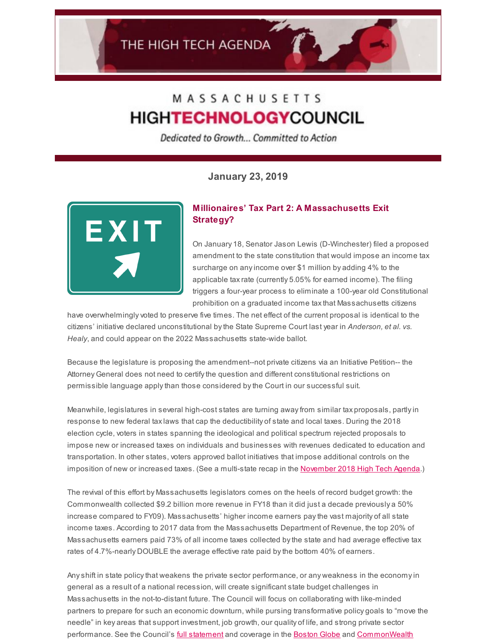# MASSACHUSETTS **HIGHTECHNOLOGYCOUNCIL**

Dedicated to Growth... Committed to Action

**January 23, 2019**



## **Millionaires' Tax Part 2: A Massachusetts Exit Strategy?**

On January 18, Senator Jason Lewis (D-Winchester) filed a proposed amendment to the state constitution that would impose an income tax surcharge on anyincome over \$1 million by adding 4% to the applicable taxrate (currently 5.05% for earned income). The filing triggers a four-year process to eliminate a 100-year old Constitutional prohibition on a graduated income taxthat Massachusetts citizens

have overwhelminglyvoted to preserve five times. The net effect of the current proposal is identical to the citizens' initiative declared unconstitutional bythe State Supreme Court last year in *Anderson, et al. vs. Healy*, and could appear on the 2022 Massachusetts state-wide ballot.

Because the legislature is proposing the amendment--not private citizens via an Initiative Petition-- the Attorney General does not need to certifythe question and different constitutional restrictions on permissible language applythan those considered bythe Court in our successful suit.

Meanwhile, legislatures in several high-cost states are turning awayfrom similar tax proposals, partlyin response to new federal taxlaws that cap the deductibility of state and local taxes. During the 2018 election cycle, voters in states spanning the ideological and political spectrum rejected proposals to impose new or increased taxes on individuals and businesses with revenues dedicated to education and transportation. In other states, voters approved ballot initiatives that impose additional controls on the imposition of new or increased taxes. (See a multi-state recap in the [November](http://www.mhtc.org/wp-content/uploads/2018/11/November-2018-High-Tech-Agenda.pdf) 2018 High Tech Agenda.)

The revival of this effort by Massachusetts legislators comes on the heels of record budget growth: the Commonwealth collected \$9.2 billion more revenue in FY18 than it did just a decade previously a 50% increase compared to FY09). Massachusetts' higher income earners paythe vast majority of all state income taxes. According to 2017 data from the Massachusetts Department of Revenue, the top 20% of Massachusetts earners paid 73% of all income taxes collected bythe state and had average effective tax rates of 4.7%-nearly DOUBLE the average effective rate paid bythe bottom 40% of earners.

Anyshift in state policythat weakens the private sector performance, or any weakness in the economyin general as a result of a national recession, will create significant state budget challenges in Massachusetts in the not-to-distant future. The Council will focus on collaborating with like-minded partners to prepare for such an economic downturn, while pursing transformative policy goals to "move the needle" in key areas that support investment, job growth, our quality of life, and strong private sector performance. See the Council's full [statement](http://www.mhtc.org/wp-content/uploads/2019/01/Media-Release-Constitutional-Amendment-1.18.19.pdf) and coverage in the [Boston](http://www.mhtc.org/supporters-look-to-revive-the-millionaires-tax/) Globe and [CommonWealth](http://www.mhtc.org/millionaire-tax-back-in-play/)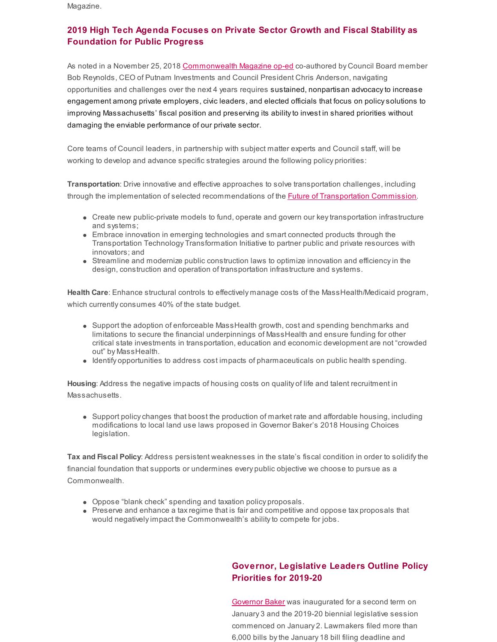Magazine.

## **2019 High Tech Agenda Focuses on Private Sector Growth and Fiscal Stability as Foundation for Public Progress**

As noted in a November 25, 2018 [Commonwealth](http://www.mhtc.org/massachusetts-is-in-the-fiscal-stability-cellar/) Magazine op-ed co-authored by Council Board member Bob Reynolds, CEO of Putnam Investments and Council President Chris Anderson, navigating opportunities and challenges over the next 4 years requires sustained, nonpartisan advocacy to increase engagement among private employers, civic leaders, and elected officials that focus on policysolutions to improving Massachusetts' fiscal position and preserving its abilityto invest in shared priorities without damaging the enviable performance of our private sector.

Core teams of Council leaders, in partnership with subject matter experts and Council staff, will be working to develop and advance specific strategies around the following policy priorities:

**Transportation**: Drive innovative and effective approaches to solve transportation challenges, including through the implementation of selected recommendations of the **Future of [Transportation](https://www.mass.gov/orgs/commission-on-the-future-of-transportation) Commission**.

- Create new public-private models to fund, operate and govern our keytransportation infrastructure and systems;
- Embrace innovation in emerging technologies and smart connected products through the Transportation Technology Transformation Initiative to partner public and private resources with innovators; and
- Streamline and modernize public construction laws to optimize innovation and efficiencyin the design, construction and operation of transportation infrastructure and systems.

**Health Care**: Enhance structural controls to effectively manage costs of the MassHealth/Medicaid program, which currently consumes 40% of the state budget.

- Support the adoption of enforceable MassHealth growth, cost and spending benchmarks and limitations to secure the financial underpinnings of MassHealth and ensure funding for other critical state investments in transportation, education and economic development are not "crowded out" by MassHealth.
- Identify opportunities to address cost impacts of pharmaceuticals on public health spending.

**Housing**: Address the negative impacts of housing costs on quality of life and talent recruitment in Massachusetts.

• Support policy changes that boost the production of market rate and affordable housing, including modifications to local land use laws proposed in Governor Baker's 2018 Housing Choices legislation.

**Tax and Fiscal Policy**: Address persistent weaknesses in the state's fiscal condition in order to solidifythe financial foundation that supports or undermines every public objective we choose to pursue as a Commonwealth.

- Oppose "blank check" spending and taxation policy proposals.
- Preserve and enhance a tax regime that is fair and competitive and oppose tax proposals that would negatively impact the Commonwealth's ability to compete for jobs.

## **Governor, Legislative Leaders Outline Policy Priorities for 2019-20**

[Governor](https://www.mass.gov/orgs/office-of-the-governor) Baker was inaugurated for a second term on January 3 and the 2019-20 biennial legislative session commenced on January 2. Lawmakers filed more than 6,000 bills bythe January 18 bill filing deadline and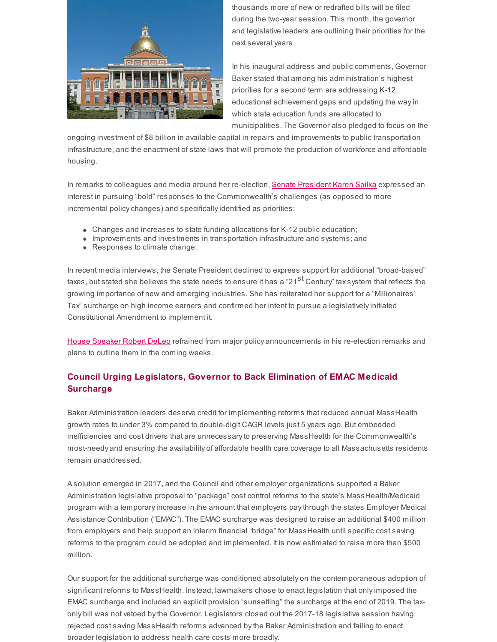

thousands more of new or redrafted bills will be filed during the two-year session. This month, the governor and legislative leaders are outlining their priorities for the next several years.

In his inaugural address and public comments, Governor Baker stated that among his administration's highest priorities for a second term are addressing K-12 educational achievement gaps and updating the wayin which state education funds are allocated to municipalities. The Governor also pledged to focus on the

ongoing investment of \$8 billion in available capital in repairs and improvements to public transportation infrastructure, and the enactment of state laws that will promote the production of workforce and affordable housing.

In remarks to colleagues and media around her re-election, Senate [President](https://malegislature.gov/Legislators/Profile/KES0) Karen Spilka expressed an interest in pursuing "bold" responses to the Commonwealth's challenges (as opposed to more incremental policy changes) and specifically identified as priorities:

- Changes and increases to state funding allocations for K-12 public education;
- Improvements and investments in transportation infrastructure and systems; and
- Responses to climate change.

In recent media interviews, the Senate President declined to express support for additional "broad-based" taxes, but stated she believes the state needs to ensure it has a "21<sup>st</sup> Century" tax system that reflects the growing importance of new and emerging industries. She has reiterated her support for a "Millionaires' Tax" surcharge on high income earners and confirmed her intent to pursue a legislativelyinitiated Constitutional Amendment to implement it.

House [Speaker](https://malegislature.gov/Legislators/Profile/RAD1) Robert DeLeo refrained from major policy announcements in his re-election remarks and plans to outline them in the coming weeks.

## **Council Urging Legislators, Governor to Back Elimination of EMAC Medicaid Surcharge**

Baker Administration leaders deserve credit for implementing reforms that reduced annual MassHealth growth rates to under 3% compared to double-digit CAGR levels just 5 years ago. But embedded inefficiencies and cost drivers that are unnecessary to preserving MassHealth for the Commonwealth's most-needy and ensuring the availability of affordable health care coverage to all Massachusetts residents remain unaddressed.

A solution emerged in 2017, and the Council and other employer organizations supported a Baker Administration legislative proposal to "package" cost control reforms to the state's MassHealth/Medicaid program with a temporaryincrease in the amount that employers paythrough the states Employer Medical Assistance Contribution ("EMAC"). The EMAC surcharge was designed to raise an additional \$400 million from employers and help support an interim financial "bridge" for MassHealth until specific cost saving reforms to the program could be adopted and implemented. It is now estimated to raise more than \$500 million.

Our support for the additional surcharge was conditioned absolutely on the contemporaneous adoption of significant reforms to MassHealth. Instead, lawmakers chose to enact legislation that onlyimposed the EMAC surcharge and included an explicit provision "sunsetting" the surcharge at the end of 2019. The taxonly bill was not vetoed bythe Governor. Legislators closed out the 2017-18 legislative session having rejected cost saving MassHealth reforms advanced bythe Baker Administration and failing to enact broader legislation to address health care costs more broadly.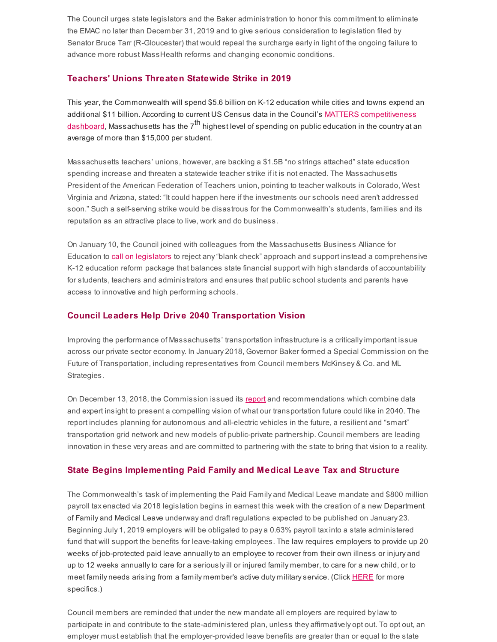The Council urges state legislators and the Baker administration to honor this commitment to eliminate the EMAC no later than December 31, 2019 and to give serious consideration to legislation filed by Senator Bruce Tarr (R-Gloucester) that would repeal the surcharge earlyin light of the ongoing failure to advance more robust MassHealth reforms and changing economic conditions.

#### **Teachers' Unions Threaten Statewide Strike in 2019**

This year, the Commonwealth will spend \$5.6 billion on K-12 education while cities and towns expend an additional \$11 billion. According to current US Census data in the Council's MATTERS [competitiveness](http://matters.mhtc.org/explore?metrics=1027&userMetrics=&states=51,1,2,3,4,5,6,7,8,9,10,11,12,13,14,15,16,17,18,19,20,21,22,23,24,25,26,27,28,29,30,31,32,33,34,35,36,37,38,39,40,41,42,43,44,45,46,47,48,49,50&visualization=0) <u>dashboard</u>, Massachusetts has the 7<sup>th</sup> highest level of spending on public education in the country at an average of more than \$15,000 per student.

Massachusetts teachers' unions, however, are backing a \$1.5B "no strings attached" state education spending increase and threaten a statewide teacher strike if it is not enacted. The Massachusetts President of the American Federation of Teachers union, pointing to teacher walkouts in Colorado, West Virginia and Arizona, stated: "It could happen here if the investments our schools need aren't addressed soon." Such a self-serving strike would be disastrous for the Commonwealth's students, families and its reputation as an attractive place to live, work and do business.

On January 10, the Council joined with colleagues from the Massachusetts Business Alliance for Education to call on [legislators](http://www.mhtc.org/wp-content/uploads/2019/01/MBAE-Affiliate-Statement-on-School-Funding-002.pdf) to reject any "blank check" approach and support instead a comprehensive K-12 education reform package that balances state financial support with high standards of accountability for students, teachers and administrators and ensures that public school students and parents have access to innovative and high performing schools.

#### **Council Leaders Help Drive 2040 Transportation Vision**

Improving the performance of Massachusetts' transportation infrastructure is a criticallyimportant issue across our private sector economy. In January 2018, Governor Baker formed a Special Commission on the Future of Transportation, including representatives from Council members McKinsey & Co. and ML Strategies.

On December 13, 2018, the Commission issued its [report](https://www.mass.gov/orgs/commission-on-the-future-of-transportation) and recommendations which combine data and expert insight to present a compelling vision of what our transportation future could like in 2040. The report includes planning for autonomous and all-electric vehicles in the future, a resilient and "smart" transportation grid network and new models of public-private partnership. Council members are leading innovation in these very areas and are committed to partnering with the state to bring that vision to a reality.

### **State Begins Implementing Paid Family and Medical Leave Tax and Structure**

The Commonwealth's task of implementing the Paid Family and Medical Leave mandate and \$800 million payroll tax enacted via 2018 legislation begins in earnest this week with the creation of a new Department of Family and Medical Leave underway and draft regulations expected to be published on January 23. Beginning July 1, 2019 employers will be obligated to pay a 0.63% payroll taxinto a state administered fund that will support the benefits for leave-taking employees. The law requires employers to provide up 20 weeks of job-protected paid leave annuallyto an employee to recover from their own illness or injury and up to 12 weeks annuallyto care for a seriouslyill or injured family member, to care for a new child, or to meet family needs arising from a family member's active duty military service. (Click [HERE](https://www.mass.gov/info-details/paid-family-medical-leave-for-employees-faq) for more specifics.)

Council members are reminded that under the new mandate all employers are required bylaw to participate in and contribute to the state-administered plan, unless they affirmatively opt out. To opt out, an employer must establish that the employer-provided leave benefits are greater than or equal to the state